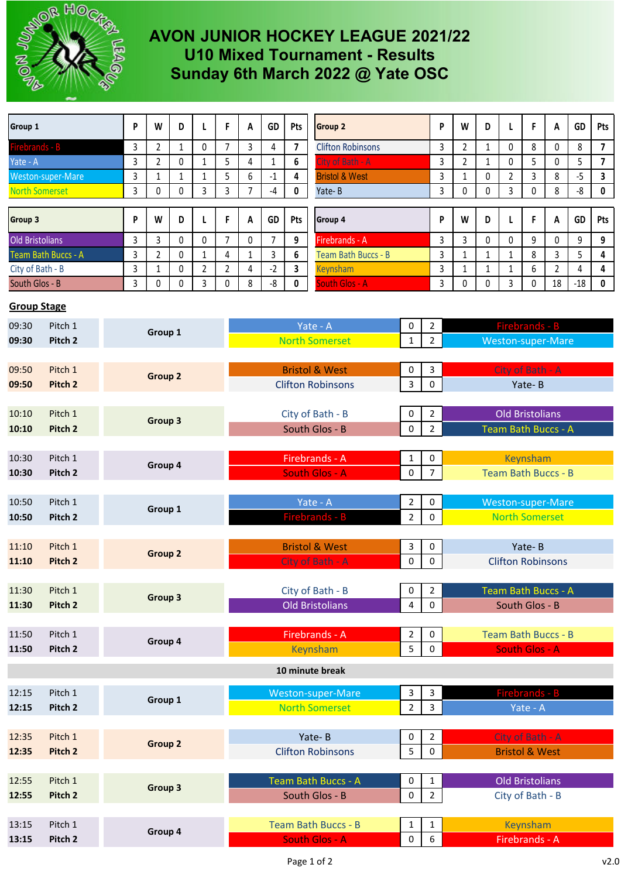

## **AVON JUNIOR HOCKEY LEAGUE 2021/22 U10 Mixed Tournament - Results Sunday 6th March 2022 @ Yate OSC**

| Group 1                                                                                                   |                               |         | P       | W              | D                        | L                      | F.                                 | A                               | GD                             | Pts                     | <b>Group 2</b>            |                     | P                         | W                        | D                      | L                          | F      | A              | GD             | Pts                     |
|-----------------------------------------------------------------------------------------------------------|-------------------------------|---------|---------|----------------|--------------------------|------------------------|------------------------------------|---------------------------------|--------------------------------|-------------------------|---------------------------|---------------------|---------------------------|--------------------------|------------------------|----------------------------|--------|----------------|----------------|-------------------------|
| Firebrands - B                                                                                            |                               |         | 3       | $\overline{2}$ | $\mathbf{1}$             | 0                      | $\overline{7}$                     | 3                               | 4                              | $\overline{7}$          | <b>Clifton Robinsons</b>  |                     | 3                         | $\overline{2}$           | $\mathbf{1}$           | $\mathbf{0}$               | 8      | 0              | 8              | $\overline{\mathbf{z}}$ |
| Yate - A                                                                                                  |                               |         | 3       | $\overline{2}$ | 0                        | $\mathbf{1}$           | 5                                  | 4                               | $\mathbf{1}$                   | 6                       | City of Bath - A          |                     |                           | $\overline{2}$           | $\mathbf{1}$           | 0                          | 5      | 0              | 5              | $\overline{\mathbf{z}}$ |
| Weston-super-Mare                                                                                         |                               |         | 3       | $\mathbf{1}$   | $\mathbf{1}$             | $\mathbf{1}$           | 5                                  | 6                               | $-1$                           | 4                       | <b>Bristol &amp; West</b> |                     | 3<br>3                    | $\mathbf{1}$             | 0                      | $\overline{2}$             | 3      | 8              | $-5$           | 3                       |
| <b>North Somerset</b>                                                                                     |                               |         | 3       | 0              | 0                        | 3                      | 3                                  | 7                               | $-4$                           | 0                       | Yate-B                    |                     | 3                         | 0                        | 0                      | 3                          | 0      | 8              | -8             | 0                       |
|                                                                                                           |                               |         |         |                |                          |                        |                                    |                                 |                                |                         |                           |                     |                           |                          |                        |                            |        |                |                |                         |
| Group 3                                                                                                   |                               |         | P       | W              | D                        | L                      | F                                  | Α                               | GD                             | Pts                     | Group 4                   |                     |                           | W                        | D                      | L                          | F      | A              | GD             | Pts                     |
| <b>Old Bristolians</b>                                                                                    |                               |         | 3       | 3              | 0                        | $\mathbf{0}$           | $\overline{7}$                     | 0                               | 7                              | 9                       | Firebrands - A            |                     | 3                         | 3                        | 0                      | $\mathbf{0}$               | 9      | 0              | 9              | 9                       |
| Team Bath Buccs - A                                                                                       |                               |         | 3       | $\overline{2}$ | 0                        | $\mathbf{1}$           | 4                                  | $\mathbf{1}$                    | 3                              | 6                       | Team Bath Buccs - B       |                     | 3                         | $\mathbf{1}$             | $\mathbf{1}$           | 1                          | 8      | 3              | 5              | 4                       |
| City of Bath - B                                                                                          |                               |         | 3       | $\mathbf{1}$   | $\pmb{0}$                | $\overline{2}$         | $\overline{2}$                     | 4                               | $-2$                           | $\overline{\mathbf{3}}$ | <b>Keynsham</b>           |                     | 3                         | $\mathbf{1}$             | $\mathbf{1}$           | $\mathbf{1}$               | 6      | $\overline{2}$ | $\overline{4}$ | 4                       |
| South Glos - B                                                                                            |                               |         | 3       | 0              | 0                        | 3                      | 0                                  | 8                               | -8                             | 0                       | South Glos - A            |                     | 3                         | 0                        | 0                      | 3                          | 0      | 18             | $-18$          | $\pmb{0}$               |
| <b>Group Stage</b>                                                                                        |                               |         |         |                |                          |                        |                                    |                                 |                                |                         |                           |                     |                           |                          |                        |                            |        |                |                |                         |
| 09:30                                                                                                     | Pitch 1                       |         |         | Group 1        |                          |                        |                                    | Yate - A<br>0                   |                                |                         | $\overline{2}$            |                     |                           | Firebrands - B           |                        |                            |        |                |                |                         |
| 09:30                                                                                                     | Pitch <sub>2</sub>            |         |         |                |                          |                        |                                    | <b>North Somerset</b>           |                                |                         | 1                         | $\overline{2}$      |                           |                          | Weston-super-Mare      |                            |        |                |                |                         |
|                                                                                                           |                               |         |         |                |                          |                        |                                    |                                 |                                |                         |                           |                     |                           |                          |                        |                            |        |                |                |                         |
| 09:50                                                                                                     | Pitch 1                       |         |         | Group 2        |                          |                        |                                    |                                 | <b>Bristol &amp; West</b><br>0 |                         |                           |                     | 3                         |                          |                        | City of Bath - A           |        |                |                |                         |
| 09:50<br>Pitch 2                                                                                          |                               |         |         |                |                          |                        |                                    |                                 | <b>Clifton Robinsons</b>       |                         |                           |                     | $\mathsf{O}\xspace$       |                          |                        |                            | Yate-B |                |                |                         |
|                                                                                                           |                               |         |         |                |                          |                        |                                    |                                 |                                |                         |                           |                     | $\overline{2}$            |                          |                        |                            |        |                |                |                         |
| 10:10                                                                                                     | Pitch 1<br>Pitch <sub>2</sub> |         |         | Group 3        |                          |                        |                                    |                                 | City of Bath - B<br>0          |                         |                           |                     |                           |                          |                        | <b>Old Bristolians</b>     |        |                |                |                         |
| 10:10                                                                                                     |                               |         |         |                |                          |                        |                                    |                                 | South Glos - B<br>0            |                         |                           |                     | $\overline{2}$            |                          |                        | <b>Team Bath Buccs - A</b> |        |                |                |                         |
|                                                                                                           |                               |         |         |                |                          |                        |                                    |                                 |                                |                         |                           |                     |                           |                          |                        |                            |        |                |                |                         |
| Pitch 1<br>10:30                                                                                          |                               |         | Group 4 |                |                          |                        |                                    | Firebrands - A                  |                                |                         |                           | $\mathbf{1}$        | 0                         | Keynsham                 |                        |                            |        |                |                |                         |
| $\overline{7}$<br>Pitch <sub>2</sub><br><b>South Glos - A</b><br><b>Team Bath Buccs - B</b><br>10:30<br>0 |                               |         |         |                |                          |                        |                                    |                                 |                                |                         |                           |                     |                           |                          |                        |                            |        |                |                |                         |
| Pitch 1<br>10:50                                                                                          |                               |         |         |                |                          |                        | Yate - A<br>2                      |                                 |                                |                         |                           | $\mathsf{O}\xspace$ |                           |                          | Weston-super-Mare      |                            |        |                |                |                         |
| Pitch <sub>2</sub><br>10:50                                                                               |                               |         | Group 1 |                |                          |                        |                                    | Firebrands - B                  |                                |                         |                           |                     | $\mathbf 0$               |                          |                        | <b>North Somerset</b>      |        |                |                |                         |
|                                                                                                           |                               |         |         |                |                          |                        |                                    |                                 |                                |                         | $\overline{2}$            |                     |                           |                          |                        |                            |        |                |                |                         |
| 11:10                                                                                                     | Pitch 1                       |         |         |                |                          |                        |                                    | <b>Bristol &amp; West</b><br>3  |                                |                         |                           | 0                   | Yate-B                    |                          |                        |                            |        |                |                |                         |
| 11:10                                                                                                     | Pitch <sub>2</sub>            |         |         | Group 2        |                          |                        |                                    |                                 | City of Bath - A               |                         |                           |                     | 0                         | <b>Clifton Robinsons</b> |                        |                            |        |                |                |                         |
|                                                                                                           |                               |         |         |                |                          |                        |                                    |                                 |                                |                         |                           |                     |                           |                          |                        |                            |        |                |                |                         |
| 11:30                                                                                                     | Pitch 1<br>Group 3<br>Pitch 2 |         |         |                |                          |                        |                                    |                                 | City of Bath - B               |                         |                           |                     | $\overline{2}$            | Team Bath Buccs - A      |                        |                            |        |                |                |                         |
| 11:30                                                                                                     |                               |         |         |                |                          | <b>Old Bristolians</b> |                                    |                                 |                                |                         | 4                         | $\mathbf 0$         | South Glos - B            |                          |                        |                            |        |                |                |                         |
|                                                                                                           |                               |         |         |                |                          |                        |                                    |                                 |                                |                         |                           |                     |                           |                          |                        |                            |        |                |                |                         |
| Pitch 1<br>11:50                                                                                          |                               |         | Group 4 |                |                          |                        |                                    | Firebrands - A<br>2             |                                |                         |                           |                     | 0                         |                          |                        | Team Bath Buccs - B        |        |                |                |                         |
| 11:50                                                                                                     | Pitch 2                       |         |         |                |                          | Keynsham<br>5          |                                    |                                 |                                |                         | 0                         |                     |                           | <b>South Glos - A</b>    |                        |                            |        |                |                |                         |
|                                                                                                           |                               |         |         |                |                          |                        |                                    |                                 |                                |                         | 10 minute break           |                     |                           |                          |                        |                            |        |                |                |                         |
| Pitch 1<br>12:15                                                                                          |                               |         |         |                |                          |                        |                                    | Weston-super-Mare<br>3          |                                |                         |                           |                     | $\overline{3}$            |                          |                        | Firebrands - B             |        |                |                |                         |
| 12:15                                                                                                     | Pitch 2                       | Group 1 |         |                |                          | <b>North Somerset</b>  |                                    |                                 |                                | $\overline{2}$          | $\overline{3}$            |                     |                           |                          | Yate - A               |                            |        |                |                |                         |
|                                                                                                           |                               |         |         |                |                          |                        |                                    |                                 |                                |                         |                           |                     |                           |                          |                        |                            |        |                |                |                         |
| 12:35                                                                                                     | Pitch 1                       |         |         |                |                          | Yate-B<br>0            |                                    |                                 |                                |                         | $\overline{2}$            |                     |                           | City of Bath - A         |                        |                            |        |                |                |                         |
| 12:35                                                                                                     | Group 2<br>Pitch 2            |         |         |                | <b>Clifton Robinsons</b> |                        |                                    |                                 | 5                              | $\mathbf 0$             |                           |                     | <b>Bristol &amp; West</b> |                          |                        |                            |        |                |                |                         |
|                                                                                                           |                               |         |         |                |                          |                        |                                    |                                 |                                |                         |                           |                     |                           |                          |                        |                            |        |                |                |                         |
| Pitch 1<br>12:55                                                                                          |                               | Group 3 |         |                |                          |                        | Team Bath Buccs - A<br>$\mathsf 0$ |                                 |                                |                         |                           | $\mathbf{1}$        |                           |                          | <b>Old Bristolians</b> |                            |        |                |                |                         |
| 12:55                                                                                                     | Pitch 2                       |         |         |                | South Glos - B<br>0      |                        |                                    | $\overline{2}$                  | City of Bath - B               |                         |                           |                     |                           |                          |                        |                            |        |                |                |                         |
|                                                                                                           |                               |         |         |                |                          |                        |                                    |                                 |                                |                         |                           |                     |                           |                          |                        |                            |        |                |                |                         |
| Pitch 1<br>13:15                                                                                          |                               |         | Group 4 |                |                          |                        |                                    | <b>Team Bath Buccs - B</b><br>1 |                                |                         |                           | $\mathbf{1}$        |                           |                          |                        | Keynsham                   |        |                |                |                         |
| Pitch 2<br>13:15                                                                                          |                               |         |         |                |                          |                        |                                    | <b>South Glos - A</b>           |                                |                         |                           | 0                   | 6                         |                          |                        | Firebrands - A             |        |                |                |                         |